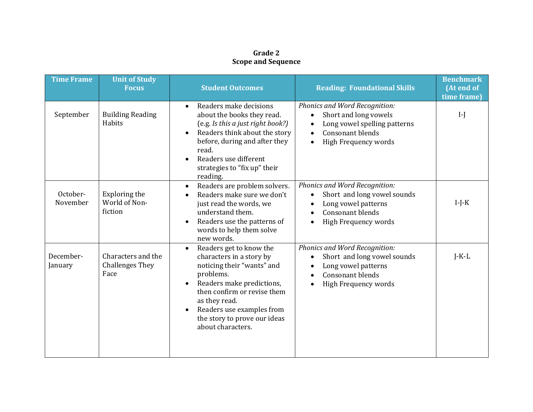## **Grade 2 Scope and Sequence**

| <b>Time Frame</b>    | <b>Unit of Study</b><br><b>Focus</b>                 | <b>Student Outcomes</b>                                                                                                                                                                                                                                                    | <b>Reading: Foundational Skills</b>                                                                                                                               | <b>Benchmark</b><br>(At end of<br>time frame) |
|----------------------|------------------------------------------------------|----------------------------------------------------------------------------------------------------------------------------------------------------------------------------------------------------------------------------------------------------------------------------|-------------------------------------------------------------------------------------------------------------------------------------------------------------------|-----------------------------------------------|
| September            | <b>Building Reading</b><br>Habits                    | Readers make decisions<br>$\bullet$<br>about the books they read.<br>(e.g. Is this a just right book?)<br>Readers think about the story<br>before, during and after they<br>read.<br>Readers use different<br>strategies to "fix up" their<br>reading.                     | Phonics and Word Recognition:<br>Short and long vowels<br>٠<br>Long vowel spelling patterns<br>Consonant blends<br>$\bullet$<br>High Frequency words<br>$\bullet$ | $\mathbf{I}$                                  |
| October-<br>November | Exploring the<br>World of Non-<br>fiction            | Readers are problem solvers.<br>$\bullet$<br>Readers make sure we don't<br>just read the words, we<br>understand them.<br>Readers use the patterns of<br>words to help them solve<br>new words.                                                                            | Phonics and Word Recognition:<br>Short and long vowel sounds<br>Long vowel patterns<br>Consonant blends<br>High Frequency words                                   | $I-J-K$                                       |
| December-<br>January | Characters and the<br><b>Challenges They</b><br>Face | Readers get to know the<br>$\bullet$<br>characters in a story by<br>noticing their "wants" and<br>problems.<br>Readers make predictions,<br>then confirm or revise them<br>as they read.<br>Readers use examples from<br>the story to prove our ideas<br>about characters. | <b>Phonics and Word Recognition:</b><br>Short and long vowel sounds<br>$\bullet$<br>Long vowel patterns<br>Consonant blends<br>High Frequency words               | $J-K-L$                                       |